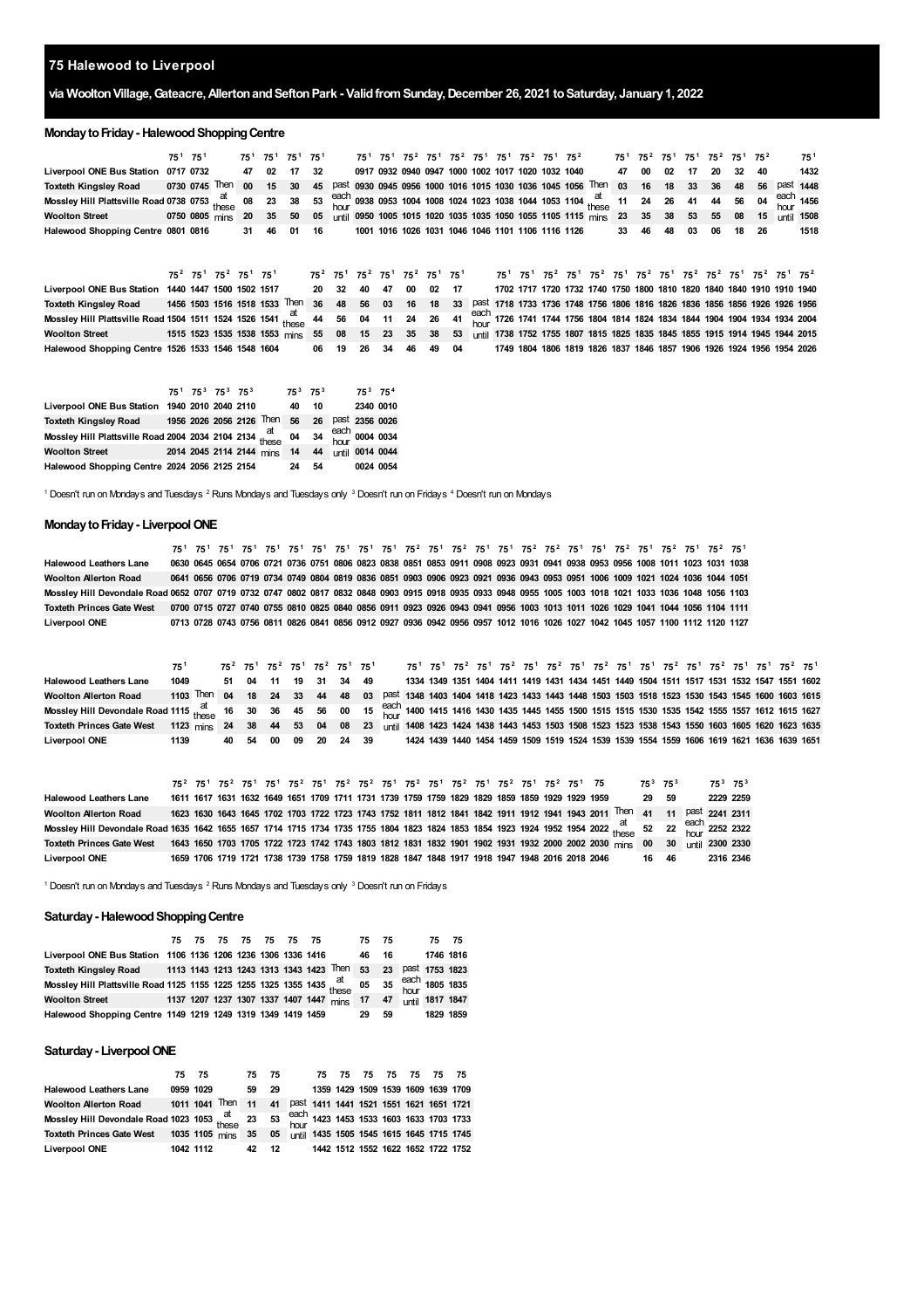## **Halewood to Liverpool**

## **via WooltonVillage,Gateacre,AllertonandSeftonPark - ValidfromSunday,December 26, 2021 toSaturday, January1, 2022**

#### **Monday to Friday - Halewood Shopping Centre**

|                                                                                                                                                    | 75 <sup>1</sup> 75 <sup>1</sup> |  |  | 75 <sup>1</sup> 75 <sup>1</sup> 75 <sup>1</sup> 75 <sup>1</sup> |  | 75 <sup>1</sup> 75 <sup>1</sup> 75 <sup>2</sup> 75 <sup>1</sup> 75 <sup>2</sup> 75 <sup>1</sup> 75 <sup>1</sup> 75 <sup>2</sup> 75 <sup>1</sup> 75 <sup>2</sup> |  |  |  |  |                                                                                                                         |  |    |    |      | 75 <sup>1</sup> 75 <sup>2</sup> 75 <sup>1</sup> 75 <sup>1</sup> 75 <sup>2</sup> 75 <sup>1</sup> 75 <sup>2</sup> |  | $75^1$ |
|----------------------------------------------------------------------------------------------------------------------------------------------------|---------------------------------|--|--|-----------------------------------------------------------------|--|-----------------------------------------------------------------------------------------------------------------------------------------------------------------|--|--|--|--|-------------------------------------------------------------------------------------------------------------------------|--|----|----|------|-----------------------------------------------------------------------------------------------------------------|--|--------|
| Liverpool ONE Bus Station 0717 0732 47 02 17 32                                                                                                    |                                 |  |  |                                                                 |  |                                                                                                                                                                 |  |  |  |  | 0917 0932 0940 0947 1000 1002 1017 1020 1032 1040   47 00 02 17                                                         |  |    |    |      | 20 32 40                                                                                                        |  | 1432   |
| Toxteth Kingsley Road 0730 0745 Then 00 15 30 45 Past 0930 0945 0956 1000 1016 1015 1030 1036 1045 1056 Then 03 16 18 33 36 48 56 Past 1448        |                                 |  |  |                                                                 |  |                                                                                                                                                                 |  |  |  |  |                                                                                                                         |  |    |    |      |                                                                                                                 |  |        |
| Mossley Hill Plattsville Road 0738 0753 these 08 23 38 53 each 0938 0953 1004 1008 1024 1023 1038 1044 1053 1104 at 11 24 26 41 44 56 04 each 1456 |                                 |  |  |                                                                 |  |                                                                                                                                                                 |  |  |  |  |                                                                                                                         |  |    |    |      |                                                                                                                 |  |        |
| <b>Woolton Street</b>                                                                                                                              |                                 |  |  |                                                                 |  |                                                                                                                                                                 |  |  |  |  | 0750 0805 mins 20 35 50 05 until 0950 1005 1015 1020 1035 1035 1050 1055 1105 1115 mins 23 35 38 53 55 08 15 until 1508 |  |    |    |      |                                                                                                                 |  |        |
| Halewood Shopping Centre 0801 0816                                                                                                                 |                                 |  |  | 31 46 01 16                                                     |  |                                                                                                                                                                 |  |  |  |  | 1001 1016 1026 1031 1046 1046 1101 1106 1116 1126 33 46                                                                 |  | 48 | 03 | - 06 | 18 26                                                                                                           |  | 1518   |

**Liverpool ONE Bus Station 1440 1447 1500 1502 1517** Toxteth Kingsley Road 1456 1503 1516 1518 1533 <sup>Then</sup> 36 48 56 03 16 18 33 <sup>past</sup> 1718 1733 1736 1748 1756 1806 1816 1826 1836 1856 1856 1856 1826 1926 1956 Mossley Hill Plattsville Road 1504 1511 1524 1526 1541 these 44 56 04 11 24 26 41 the each 1726 1741 1744 1756 1804 1814 1824 1834 1844 1904 1904 1904 1934 1934 2004 Woolton Street 1515 1523 1535 1538 1553 <sub>mins</sub> 55 08 15 23 35 38 53 <sub>until</sub> 1738 1752 1755 1807 1815 1825 1835 1845 1855 1915 1914 1945 1944 2015 **Halewood Shopping Centre 1526 1533 1546 1548 [2](#page-0-1) 75 [1](#page-0-0) 75 [2](#page-0-1) 75 [1](#page-0-0) 75 75 [2](#page-0-1) 75 [1](#page-0-0) 75 [2](#page-0-1) 75 [1](#page-0-0) 75 [2](#page-0-1) 75 [1](#page-0-0) 75** 75<sup>1</sup> 75<sup>1</sup> 75<sup>[2](#page-0-1)</sup> 75<sup>1</sup> 75<sup>2</sup> 75<sup>1</sup> 75<sup>2</sup> 75<sup>1</sup> 75<sup>2</sup> 75<sup>2</sup> 75<sup>1</sup> 75<sup>2</sup> 75<sup>1</sup> **32 40 47 00 02 17 1717 1720 1732 1740 1750 1800 1810 1820 1840 1840 1910 1910 1940 06 19 26 34 46 49 04 1749 1806 1819 1826 1837 1846 1857 1906 1926 1924 1956 1954 2026**

|                                                                                                          |  | $75^1$ $75^3$ $75^3$ $75^3$ |                          | $75^3$ $75^3$ |    | $75^3$ $75^4$  |                 |
|----------------------------------------------------------------------------------------------------------|--|-----------------------------|--------------------------|---------------|----|----------------|-----------------|
| Liverpool ONE Bus Station 1940 2010 2040 2110                                                            |  |                             |                          | 40            | 10 |                | 2340 0010       |
| Toxteth Kingsley Road                                                                                    |  |                             | 1956 2026 2056 2126 Then | 56            | 26 | past 2356 0026 |                 |
| Mossley Hill Plattsville Road 2004 2034 2104 2134 $\frac{at}{these}$ 04 34 $\frac{each}{hour}$ 0004 0034 |  |                             |                          |               |    |                |                 |
| <b>Woolton Street</b>                                                                                    |  |                             | 2014 2045 2114 2144 mins | 14            | 44 |                | until 0014 0044 |
| Halewood Shopping Centre 2024 2056 2125 2154                                                             |  |                             |                          | 24            | 54 | 0024 0054      |                 |

<span id="page-0-3"></span><span id="page-0-2"></span><span id="page-0-1"></span><span id="page-0-0"></span>1 Doesn't run on Mondays and Tuesdays <sup>2</sup> Runs Mondays and Tuesdays only 3 Doesn't run on Fridays 4 Doesn't run on Mondays

#### **Monday to Friday - Liverpool ONE**

**Halewood Leathers Lane** Woolton Alerton Road 0641 0656 0706 0719 0734 0749 0804 0819 0836 0851 0903 0906 0923 0921 0936 0943 0953 0951 1006 1009 1021 1024 1036 1044 1051 Mossley Hill Devondale Road 0652 0707 0719 0732 0747 0802 0817 0832 0848 0903 0915 0918 0935 0933 0948 0955 1005 1003 1018 1021 1033 1036 1048 1056 1103 Toxteth Princes Gate West 0700 0715 0727 0740 0755 0810 0825 0840 0856 0911 0923 0926 0943 0941 0956 1003 1013 1011 1026 1029 1041 1044 1056 1104 1111 **Liverpool ONE** 75<sup>[1](#page-0-0)</sup> 75<sup>1</sup> 75<sup>1</sup> 75<sup>1</sup> 75<sup>1</sup> 75<sup>1</sup> 75<sup>1</sup> 75<sup>1</sup> 75<sup>1</sup> 75<sup>1</sup> 75<sup>[2](#page-0-1)</sup> 75<sup>1</sup> 75<sup>2</sup> 75<sup>1</sup> 75<sup>1</sup> 75<sup>2</sup> 75<sup>1</sup> 75<sup>2</sup> 75<sup>1</sup> 75<sup>2</sup> 75<sup>1</sup> 75<sup>2</sup> 75<sup>1</sup> 0630 0645 0654 0706 0721 0736 0751 0806 0823 0838 0851 0853 0911 0908 0923 0931 0941 0938 0953 0956 1008 1011 1023 1031 1038 0713 0728 0743 0756 0811 0826 0841 0856 0912 0927 0936 0942 0956 0957 1012 1016 1026 1027 1042 1045 1057 1100 1112 1120 1127

**Halewood Leathers Lane Woolton Allerton Road Mossley Hill Devondale Road 1115** at these Toxteth Princes Gate West 1123 mins 24 38 44 53 04 08 23 <sub>UNU</sub>i 1408 1423 1424 1438 1443 1453 1503 1508 1523 1523 1538 1543 1550 1603 1605 1620 1623 1635 **Liverpool ONE 75 [2](#page-0-1) 75 [1](#page-0-0) 75 [2](#page-0-1) 75 [1](#page-0-0) 75 [2](#page-0-1) 75 [1](#page-0-0) 75** <sup>[1](#page-0-0)</sup> 75<sup>1</sup> 75<sup>1</sup> 75<sup>[2](#page-0-1)</sup> 75<sup>1</sup> 75<sup>2</sup> 75<sup>1</sup> 75<sup>2</sup> 75<sup>1</sup> 75<sup>2</sup> 75<sup>1</sup> 75<sup>2</sup> 75<sup>1</sup> 75<sup>2</sup> 75<sup>1</sup> 75<sup>2</sup> 75<sup>1</sup> 75<sup>2</sup> 75<sup>1</sup> 1103 Then 04 18 24 33 44 48 03 Past 1348 1403 1404 1418 1423 1433 1443 1448 1503 1503 1518 1523 1530 1543 1545 1600 1603 1615 **04 11 19 31 34 49** 1115 at 16 30 36 45 56 00 15 each 1400 1415 1416 1430 1435 1445 1455 1500 1515 1515 1530 1535 1542 1555 1557 1612 1615 1627 **1349 1351 1404 1411 1419 1431 1434 1451 1449 1504 1511 1517 1531 1532 1547 1551 1602 40 54 00 09 20 24 39 1424 1440 1454 1459 1509 1519 1524 1539 1539 1554 1559 1606 1619 1621 1636 1639 1651**

|                                                                                                                                                          |  |  |  |  |  |  |  | 75 <sup>2</sup> 75 <sup>1</sup> 75 <sup>2</sup> 75 <sup>1</sup> 75 <sup>1</sup> 75 <sup>2</sup> 75 <sup>1</sup> 75 <sup>2</sup> 75 <sup>2</sup> 75 <sup>1</sup> 75 <sup>2</sup> 75 <sup>1</sup> 75 <sup>2</sup> 75 <sup>1</sup> 75 <sup>2</sup> 75 <sup>1</sup> 75 <sup>2</sup> 75 <sup>1</sup> |  |                                                                                                | $75^3$ $75^3$ |  | $75^3$ $75^3$ |                                                                                                                                                |
|----------------------------------------------------------------------------------------------------------------------------------------------------------|--|--|--|--|--|--|--|-------------------------------------------------------------------------------------------------------------------------------------------------------------------------------------------------------------------------------------------------------------------------------------------------|--|------------------------------------------------------------------------------------------------|---------------|--|---------------|------------------------------------------------------------------------------------------------------------------------------------------------|
| <b>Halewood Leathers Lane</b>                                                                                                                            |  |  |  |  |  |  |  | 1611 1617 1631 1632 1649 1651 1709 1711 1731 1739 1759 1759 1829 1829 1859 1859 1929 1929 1959                                                                                                                                                                                                  |  |                                                                                                | 29 59         |  |               | 2229 2259                                                                                                                                      |
| <b>Woolton Allerton Road</b>                                                                                                                             |  |  |  |  |  |  |  |                                                                                                                                                                                                                                                                                                 |  |                                                                                                |               |  |               | 1623 1630 1643 1645 1702 1703 1722 1723 1743 1752 1811 1812 1841 1842 1911 1912 1941 1943 2011 <sup>Then</sup> 41 11 <sup>past</sup> 2241 2311 |
| Mossley Hill Devondale Road 1635 1642 1655 1657 1714 1715 1734 1735 1755 1804 1823 1824 1853 1854 1923 1924 1952 1954 2022 at these 52 22 Each 2252 2322 |  |  |  |  |  |  |  |                                                                                                                                                                                                                                                                                                 |  |                                                                                                |               |  |               |                                                                                                                                                |
| <b>Toxteth Princes Gate West</b>                                                                                                                         |  |  |  |  |  |  |  |                                                                                                                                                                                                                                                                                                 |  |                                                                                                |               |  |               | 1643 1650 1703 1705 1722 1723 1742 1743 1803 1812 1831 1832 1901 1902 1931 1932 2000 2002 2030 mins 00 30 until 2300 2330                      |
| <b>Liverpool ONE</b>                                                                                                                                     |  |  |  |  |  |  |  |                                                                                                                                                                                                                                                                                                 |  | 1659 1706 1719 1721 1738 1739 1758 1759 1819 1828 1847 1848 1917 1918 1947 1948 2016 2018 2046 | 16 46         |  |               | 2316 2346                                                                                                                                      |

 $^1$  Doesn't run on Mondays and Tuesdays  $^2$  Runs Mondays and Tuesdays only  $^3$  Doesn't run on Fridays

### **Saturday - Halewood Shopping Centre**

|                                                                                             |  |  | 75 75 75 75 75 75 75 |  |                                            | 75 75 |    | 75 75 |                 |
|---------------------------------------------------------------------------------------------|--|--|----------------------|--|--------------------------------------------|-------|----|-------|-----------------|
| Liverpool ONE Bus Station 1106 1136 1206 1236 1306 1336 1416                                |  |  |                      |  |                                            | 46.   | 16 |       | 1746 1816       |
| Toxteth Kingsley Road 1113 1143 1213 1243 1313 1343 1423 Then 53 23 Past 1753 1823          |  |  |                      |  |                                            |       |    |       |                 |
| Mossley Hill Plattsville Road 1125 1155 1225 1255 1325 1355 1435 these 05 35 each 1805 1835 |  |  |                      |  |                                            |       |    |       |                 |
| <b>Woolton Street</b>                                                                       |  |  |                      |  | 1137 1207 1237 1307 1337 1407 1447 mins 17 |       | 47 |       | until 1817 1847 |
| Halewood Shopping Centre 1149 1219 1249 1319 1349 1419 1459                                 |  |  |                      |  |                                            | 29    | 59 |       | 1829 1859       |

### **Saturday- LiverpoolONE**

|                                                                                           | 75 75     |                                                              | 75 75 |  | 75 75 |  |  | 75 75 75 75 75 |                                    |
|-------------------------------------------------------------------------------------------|-----------|--------------------------------------------------------------|-------|--|-------|--|--|----------------|------------------------------------|
| <b>Halewood Leathers Lane</b>                                                             | 0959 1029 |                                                              | 59 29 |  |       |  |  |                | 1359 1429 1509 1539 1609 1639 1709 |
| <b>Woolton Alerton Road</b>                                                               |           | 1011 1041 Then 11 41 past 1411 1441 1521 1551 1621 1651 1721 |       |  |       |  |  |                |                                    |
| Mossley Hill Devondale Road 1023 1053 these 23 53 hour 1423 1453 1533 1603 1633 1703 1733 |           |                                                              |       |  |       |  |  |                |                                    |
| Toxteth Princes Gate West 1035 1105 mins 35 05 until 1435 1505 1545 1615 1645 1715 1745   |           |                                                              |       |  |       |  |  |                |                                    |
| <b>Liverpool ONE</b>                                                                      | 1042 1112 |                                                              | 42 12 |  |       |  |  |                | 1442 1512 1552 1622 1652 1722 1752 |